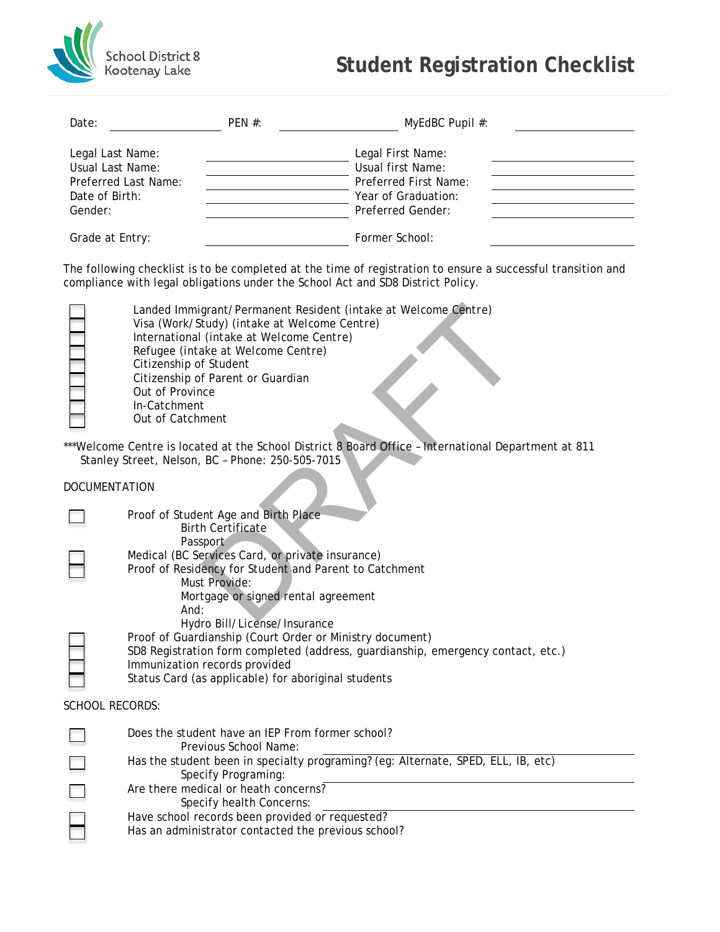

## **Student Registration Checklist**

|                                                  | PEN #:                                                                                   | MyEdBC Pupil #:                                                                                                                                                                                 |  |  |  |
|--------------------------------------------------|------------------------------------------------------------------------------------------|-------------------------------------------------------------------------------------------------------------------------------------------------------------------------------------------------|--|--|--|
| Legal Last Name:                                 |                                                                                          | Legal First Name:                                                                                                                                                                               |  |  |  |
| Usual Last Name:                                 |                                                                                          | Usual first Name:                                                                                                                                                                               |  |  |  |
| Preferred Last Name:                             |                                                                                          | Preferred First Name:                                                                                                                                                                           |  |  |  |
| Date of Birth:                                   | Year of Graduation:                                                                      |                                                                                                                                                                                                 |  |  |  |
| Gender:                                          | Preferred Gender:                                                                        |                                                                                                                                                                                                 |  |  |  |
| Grade at Entry:                                  |                                                                                          | Former School:                                                                                                                                                                                  |  |  |  |
|                                                  |                                                                                          | The following checklist is to be completed at the time of registration to ensure a successful transition and<br>compliance with legal obligations under the School Act and SD8 District Policy. |  |  |  |
|                                                  | Visa (Work/Study) (intake at Welcome Centre)<br>International (intake at Welcome Centre) | Landed Immigrant/Permanent Resident (intake at Welcome Centre)                                                                                                                                  |  |  |  |
| Citizenship of Student                           | Refugee (intake at Welcome Centre)                                                       |                                                                                                                                                                                                 |  |  |  |
|                                                  | Citizenship of Parent or Guardian                                                        |                                                                                                                                                                                                 |  |  |  |
| Out of Province                                  |                                                                                          |                                                                                                                                                                                                 |  |  |  |
| In-Catchment                                     |                                                                                          |                                                                                                                                                                                                 |  |  |  |
| Out of Catchment                                 |                                                                                          |                                                                                                                                                                                                 |  |  |  |
|                                                  |                                                                                          |                                                                                                                                                                                                 |  |  |  |
| Stanley Street, Nelson, BC - Phone: 250-505-7015 |                                                                                          | ***Welcome Centre is located at the School District 8 Board Office - International Department at 811                                                                                            |  |  |  |
| <b>DOCUMENTATION</b>                             |                                                                                          |                                                                                                                                                                                                 |  |  |  |
|                                                  |                                                                                          |                                                                                                                                                                                                 |  |  |  |
|                                                  | Proof of Student Age and Birth Place<br><b>Birth Certificate</b>                         |                                                                                                                                                                                                 |  |  |  |
|                                                  | Passport                                                                                 |                                                                                                                                                                                                 |  |  |  |
|                                                  | Medical (BC Services Card, or private insurance)                                         |                                                                                                                                                                                                 |  |  |  |
|                                                  | Must Provide:<br>Mortgage or signed rental agreement                                     | Proof of Residency for Student and Parent to Catchment                                                                                                                                          |  |  |  |
| And:                                             |                                                                                          |                                                                                                                                                                                                 |  |  |  |
|                                                  | Hydro Bill/License/Insurance                                                             |                                                                                                                                                                                                 |  |  |  |
|                                                  |                                                                                          | Proof of Guardianship (Court Order or Ministry document)                                                                                                                                        |  |  |  |
|                                                  | Immunization records provided                                                            | SD8 Registration form completed (address, guardianship, emergency contact, etc.)                                                                                                                |  |  |  |

| Does the student have an IEP From former school?<br>Previous School Name:                                |
|----------------------------------------------------------------------------------------------------------|
| Has the student been in specialty programing? (eg: Alternate, SPED, ELL, IB, etc)<br>Specify Programing: |
| Are there medical or heath concerns?<br>Specify health Concerns:                                         |
| Have school records been provided or requested?<br>Has an administrator contacted the previous school?   |